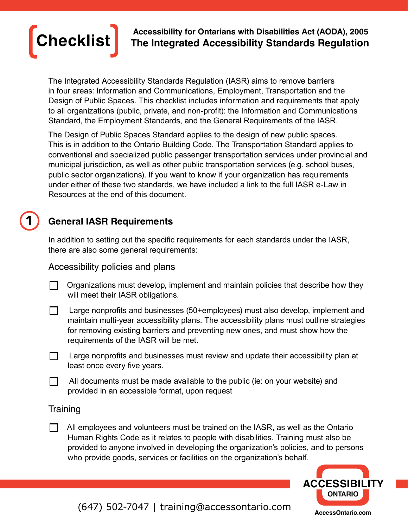

**Checklist Accessibility for Ontarians with Disabilities Act (AODA), 2005 The Integrated Accessibility Standards Regulation**

The Integrated Accessibility Standards Regulation (IASR) aims to remove barriers in four areas: Information and Communications, Employment, Transportation and the Design of Public Spaces. This checklist includes information and requirements that apply to all organizations (public, private, and non-profit): the Information and Communications Standard, the Employment Standards, and the General Requirements of the IASR.

The Design of Public Spaces Standard applies to the design of new public spaces. This is in addition to the Ontario Building Code. The Transportation Standard applies to conventional and specialized public passenger transportation services under provincial and municipal jurisdiction, as well as other public transportation services (e.g. school buses, public sector organizations). If you want to know if your organization has requirements under either of these two standards, we have included a link to the full IASR e-Law in Resources at the end of this document.

# **General IASR Requirements**

In addition to setting out the specific requirements for each standards under the IASR, there are also some general requirements:

Accessibility policies and plans

- Organizations must develop, implement and maintain policies that describe how they  $\Box$ will meet their IASR obligations.
- $\Box$  Large nonprofits and businesses (50+employees) must also develop, implement and maintain multi-year accessibility plans. The accessibility plans must outline strategies for removing existing barriers and preventing new ones, and must show how the requirements of the IASR will be met.
- Large nonprofits and businesses must review and update their accessibility plan at  $\Box$ least once every five years.
- $\Box$  All documents must be made available to the public (ie: on your website) and provided in an accessible format, upon request

### **Training**

1

 $\Box$  All employees and volunteers must be trained on the IASR, as well as the Ontario Human Rights Code as it relates to people with disabilities. Training must also be provided to anyone involved in developing the organization's policies, and to persons who provide goods, services or facilities on the organization's behalf.



[\(647\) 502-7047](tel:6475027047) | [training@accessontario.com](mailto:training%40accessontario.com?subject=)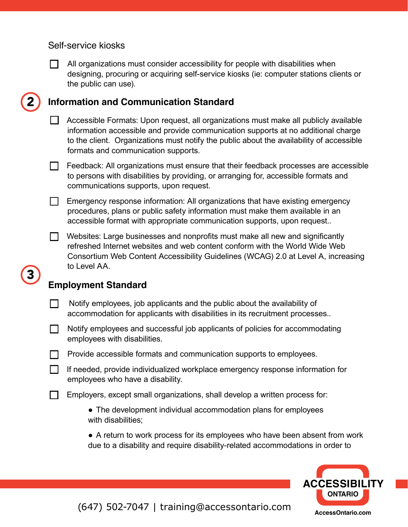#### Self-service kiosks



2

3

All organizations must consider accessibility for people with disabilities when designing, procuring or acquiring self-service kiosks (ie: computer stations clients or the public can use).

## **Information and Communication Standard**

 $\Box$  Accessible Formats: Upon request, all organizations must make all publicly available information accessible and provide communication supports at no additional charge to the client. Organizations must notify the public about the availability of accessible formats and communication supports.

Feedback: All organizations must ensure that their feedback processes are accessible to persons with disabilities by providing, or arranging for, accessible formats and communications supports, upon request.

 $\Box$  Emergency response information: All organizations that have existing emergency procedures, plans or public safety information must make them available in an accessible format with appropriate communication supports, upon request..

 $\Box$ Websites: Large businesses and nonprofits must make all new and significantly refreshed Internet websites and web content conform with the World Wide Web Consortium Web Content Accessibility Guidelines (WCAG) 2.0 at Level A, increasing to Level AA.

# **Employment Standard**

- $\Box$  Notify employees, job applicants and the public about the availability of accommodation for applicants with disabilities in its recruitment processes..
	- Notify employees and successful job applicants of policies for accommodating employees with disabilities.

 $\Box$  Provide accessible formats and communication supports to employees.

- $\Box$  If needed, provide individualized workplace emergency response information for employees who have a disability.
- $\Box$ Employers, except small organizations, shall develop a written process for:
	- **●** The development individual accommodation plans for employees with disabilities;

**●** A return to work process for its employees who have been absent from work due to a disability and require disability-related accommodations in order to



[\(647\) 502-7047](tel:6475027047) | [training@accessontario.com](mailto:training%40accessontario.com?subject=)